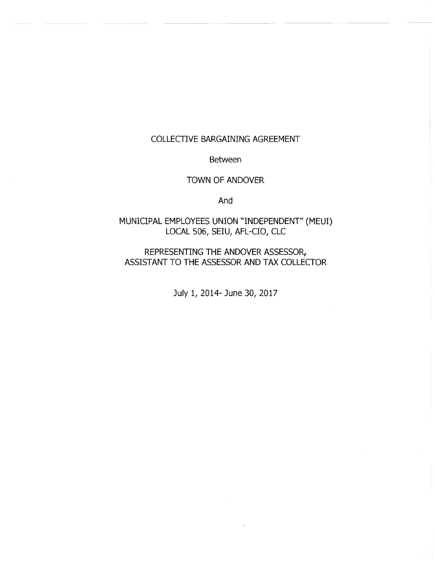# COLLECTIVE BARGAINING AGREEMENT

Between

## TOWN OF ANDOVER

And

# MUNICIPAL EMPLOYEES UNION "INDEPENDENT" (MEUI) LOCAL 506, SEIU, AFL-CIO, CLC

REPRESENTING THE ANDOVER ASSESSOR, ASSISTANT TO THE ASSESSOR AND TAX COLLECTOR

July 1, 2014- June 30, 2017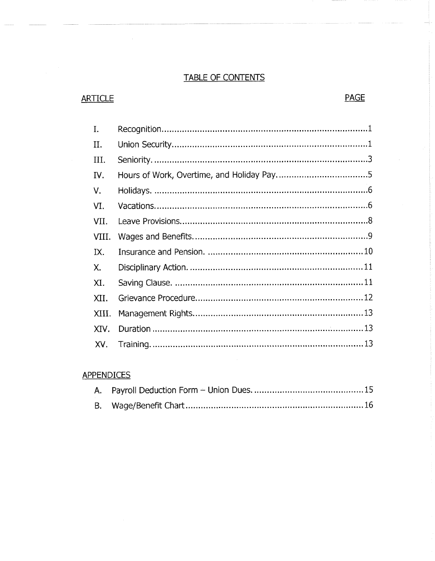# TABLE OF CONTENTS

# ARTICLE PAGE

| I.    |  |
|-------|--|
| П.    |  |
| III.  |  |
| IV.   |  |
| V.    |  |
| VI.   |  |
| VII.  |  |
| VIII. |  |
| IX.   |  |
| Χ.    |  |
| XI.   |  |
| XII.  |  |
| XIII. |  |
| XIV.  |  |
| XV.   |  |
|       |  |

# **APPENDICES**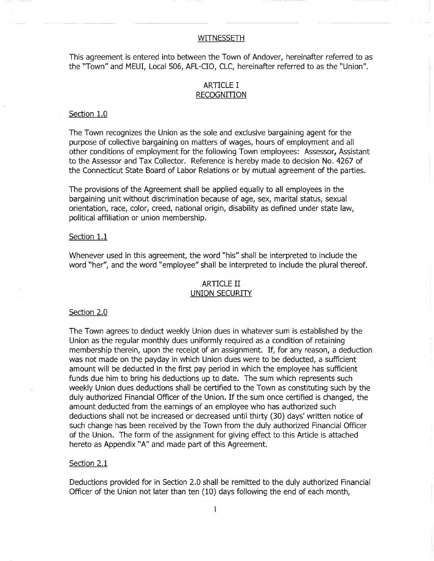## WITNESSETH

This agreement is entered into between the Town of Andover, hereinafter referred to as the "Town" and MEUI, Local 506, AFL-CIO, CLC, hereinafter referred to as the "Union".

## ARTICLE I RECOGNITION

## Section 1.0

The Town recognizes the Union as the sole and exclusive bargaining agent for the purpose of collective bargaining on matters of wages, hours of employment and all other conditions of employment for the following Town employees: Assessor, Assistant to the Assessor and Tax Collector. Reference is hereby made to decision No. 4267 of the Connecticut State Board of Labor Relations or by mutual agreement of the parties.

The provisions of the Agreement shall be applied equally to all employees in the bargaining unit without discrimination because of age, sex, marital status, sexual orientation, race, color, creed, national origin, disability as defined under state law, political affiliation or union membership.

## Section 1.1

Whenever used in this agreement, the word "his" shall be interpreted to include the word "her", and the word "employee" shall be interpreted to include the plural thereof.

## ARTICLE II UNION SECURITY

## Section 2.0

The Town agrees to deduct weekly Union dues in whatever sum is established by the Union as the regular monthly dues uniformly required as a condition of retaining membership therein, upon the receipt of an assignment. If, for any reason, a deduction was not made on the payday in which Union dues were to be deducted, a sufficient amount will be deducted in the first pay period in which the employee has sufficient funds due him to bring his deductions up to date. The sum which represents such weekly Union dues deductions shall be certified to the Town as constituting such by the duly authorized Financial Officer of the Union. If the sum once certified is changed, the amount deducted from the earnings of an employee who has authorized such deductions shall not be increased or decreased until thirty (30) days' written notice of such change has been received by the Town from the duly authorized Financial Officer of the Union. The form of the assignment for giving effect to this Article is attached hereto as Appendix "A" and made part of this Agreement.

## Section 2.1

Deductions provided for in Section 2.0 shall be remitted to the duly authorized Financial Officer of the Union not later than ten (10) days following the end of each month,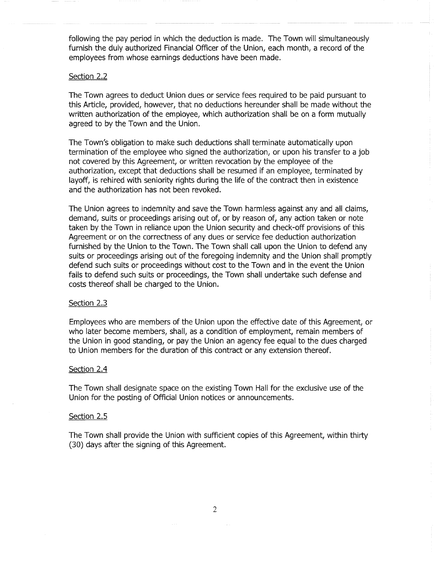following the pay period in which the deduction is made. The Town will simultaneously furnish the duly authorized Financial Officer of the Union, each month, a record of the employees from whose earnings deductions have been made.

## Section 2.2

The Town agrees to deduct Union dues or service fees required to be paid pursuant to this Article, provided, however, that no deductions hereunder shall be made without the written authorization of the employee, which authorization shall be on a form mutually agreed to by the Town and the Union.

The Town's obligation to make such deductions shall terminate automatically upon termination of the employee who signed the authorization, or upon his transfer to a job not covered by this Agreement, or written revocation by the employee of the authorization, except that deductions shall be resumed if an employee, terminated by layoff, is rehired with seniority rights during the life of the contract then in existence and the authorization has not been revoked.

The Union agrees to indemnity and save the Town harmless against any and all claims, demand, suits or proceedings arising out of, or by reason of, any action taken or note taken by the Town in reliance upon the Union security and check-off provisions of this Agreement or on the correctness of any dues or service fee deduction authorization furnished by the Union to the Town. The Town shall call upon the Union to defend any suits or proceedings arising out of the foregoing indemnity and the Union shall promptly defend such suits or proceedings without cost to the Town and in the event the Union fails to defend such suits or proceedings, the Town shall undertake such defense and costs thereof shall be charged to the Union.

#### Section 2.3

Employees who are members of the Union upon the effective date of this Agreement, or who later become members, shall, as a condition of employment, remain members of the Union in good standing, or pay the Union an agency fee equal to the dues charged to Union members for the duration of this contract or any extension thereof.

#### Section 2.4

The Town shall designate space on the existing Town Hall for the exclusive use of the Union for the posting of Official Union notices or announcements.

#### Section 2.5

The Town shall provide the Union with sufficient copies of this Agreement, within thirty (30) days after the signing of this Agreement.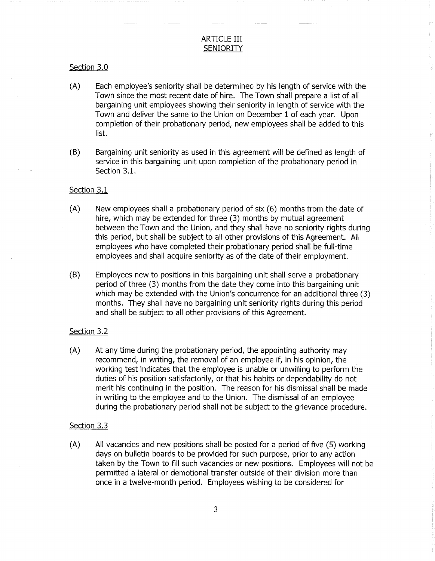## ARTICLE III **SENIORITY**

## Section 3.0

- (A) Each employee's seniority shall be determined by his length of service with the Town since the most recent date of hire. The Town shall prepare a list of all bargaining unit employees showing their seniority in length of service with the Town and deliver the same to the Union on December 1 of each year. Upon completion of their probationary period, new employees shall be added to this list.
- (B) Bargaining unit seniority as used in this agreement will be defined as length of service in this bargaining unit upon completion of the probationary period in Section 3.1.

## Section 3.1

- (A) New employees shall a probationary period of six (6) months from the date of hire, which may be extended for three (3) months by mutual agreement between the Town and the Union, and they shall have no seniority rights during this period, but shall be subject to all other provisions of this Agreement. All employees who have completed their probationary period shall be full-time employees and shall acquire seniority as of the date of their employment.
- (B) Employees new to positions in this bargaining unit shall serve a probationary period of three (3) months from the date they come into this bargaining unit which may be extended with the Union's concurrence for an additional three (3) months. They shall have no bargaining unit seniority rights during this period and shall be subject to all other provisions of this Agreement.

#### Section 3.2

(A) At any time during the probationary period, the appointing authority may recommend, in writing, the removal of an employee if, in his opinion, the working test indicates that the employee is unable or unwilling to perform the duties of his position satisfactorily, or that his habits or dependability do not merit his continuing in the position. The reason for his dismissal shall be made in writing to the employee and to the Union. The dismissal of an employee during the probationary period shall not be subject to the grievance procedure.

## Section 3.3

(A) All vacancies and new positions shall be posted for a period of five (5) working days on bulletin boards to be provided for such purpose, prior to any action taken by the Town to fill such vacancies or new positions. Employees will not be permitted a lateral or demotional transfer outside of their division more than once in a twelve-month period. Employees wishing to be considered for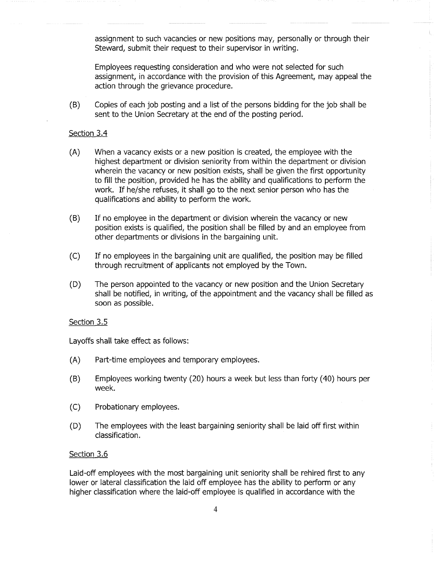assignment to such vacancies or new positions may, personally or through their Steward, submit their request to their supervisor in writing.

Employees requesting consideration and who were not selected for such assignment, in accordance with the provision of this Agreement, may appeal the action through the grievance procedure.

(B) Copies of each job posting and a list of the persons bidding for the job shall be sent to the Union Secretary at the end of the posting period.

## Section 3.4

- (A) When a vacancy exists or a new position is created, the employee with the highest department or division seniority from within the department or division wherein the vacancy or new position exists, shall be given the first opportunity to fill the position, provided he has the ability and qualifications to perform the work. If he/she refuses, it shall go to the next senior person who has the qualifications and ability to perform the work.
- (B) If no employee in the department or division wherein the vacancy or new position exists is qualified, the position shall be filled by and an employee from other departments or divisions in the bargaining unit.
- (C) If no employees in the bargaining unit are qualified, the position may be filled through recruitment of applicants not employed by the Town.
- (D) The person appointed to the vacancy or new position and the Union Secretary shall be notified, in writing, of the appointment and the vacancy shall be filled as soon as possible.

## Section 3.5

Layoffs shall take effect as follows:

- (A) Part-time employees and temporary employees.
- (B) Employees working twenty (20) hours a week but less than forty (40) hours per week.
- (C) Probationary employees.
- (D) The employees with the least bargaining seniority shall be laid off first within classification.

## Section 3.6

Laid-off employees with the most bargaining unit seniority shall be rehired first to any lower or lateral classification the laid off employee has the ability to perform or any higher classification where the laid-off employee is qualified in accordance with the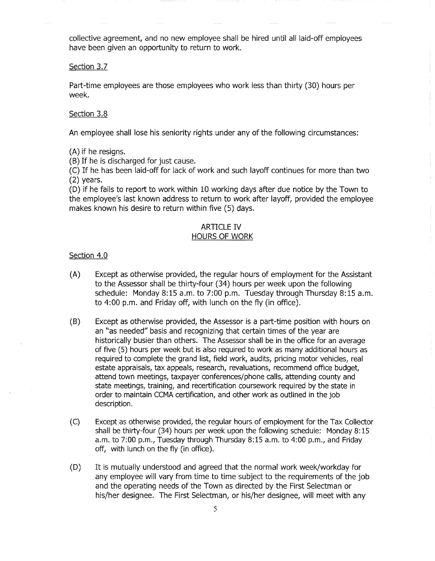collective agreement, and no new employee shall be hired until all laid-off employees have been given an opportunity to return to work.

## Section 3.7

Part-time employees are those employees who work less than thirty (30) hours per week.

## Section 3.8

An employee shall lose his seniority rights under any of the following circumstances:

(A) if he resigns.

(B) If he is discharged for just cause.

(C) If he has been laid-off for lack of work and such layoff continues for more than two (2) years.

(D) if he fails to report to work within 10 working days after due notice by the Town to the employee's last known address to return to work after layoff, provided the employee makes known his desire to return within five (5) days.

## ARTICLE IV HOURS OF WORK

## Section 4.0

- (A) Except as otherwise provided, the regular hours of employment for the Assistant to the Assessor shall be thirty-four (34) hours per week upon the following schedule: Monday 8:15 a.m. to 7:00 p.m. Tuesday through Thursday 8:15 a.m. to 4:00 p.m. and Friday off, with lunch on the fly (in office).
- (B) Except as otherwise provided, the Assessor is a part-time position with hours on an "as needed" basis and recognizing that certain times of the year are historically busier than others. The Assessor shall be in the office for an average of five (5) hours per week but is also required to work as many additional hours as required to complete the grand list, field work, audits, pricing motor vehicles, real estate appraisals, tax appeals, research, revaluations, recommend office budget, attend town meetings, taxpayer conferences/phone calls, attending county and state meetings, training, and recertification coursework required by the state in order to maintain CCMA certification, and other work as outlined in the job description.
- (C) Except as otherwise provided, the regular hours of employment for the Tax Collector shall be thirty-four (34) hours per week upon the following schedule: Monday 8:15 a.m. to 7:00 p.m., Tuesday through Thursday 8:15 a.m. to 4:00 p.m., and Friday off, with lunch on the fly (in office).
- (D) It is mutually understood and agreed that the normal work week/workday for any employee will vary from time to time subject to the requirements of the job and the operating needs of the Town as directed by the First Selectman or his/her designee. The First Selectman, or his/her designee, will meet with any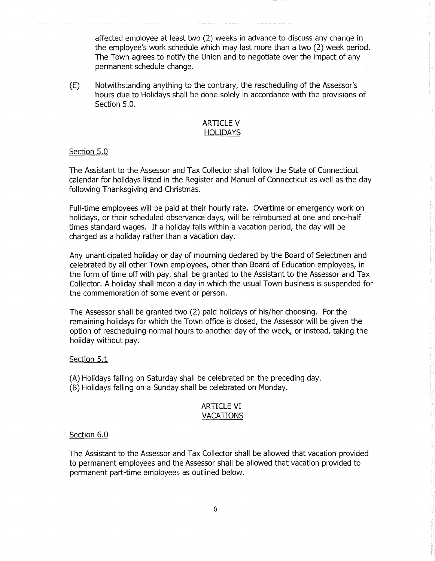affected employee at least two (2) weeks in advance to discuss any change in the employee's work schedule which may last more than a two (2) week period. The Town agrees to notify the Union and to negotiate over the impact of any permanent schedule change.

(E) Notwithstanding anything to the contrary, the rescheduling of the Assessor's hours due to Holidays shall be done solely in accordance with the provisions of Section 5.0.

## ARTICLE V HOLIDAYS

## Section 5.0

The Assistant to the Assessor and Tax Collector shall follow the State of Connecticut calendar for holidays listed in the Register and Manuel of Connecticut as well as the day following Thanksgiving and Christmas.

Full-time employees will be paid at their hourly rate. Overtime or emergency work on holidays, or their scheduled observance days, will be reimbursed at one and one-half times standard wages. If a holiday falls within a vacation period, the day will be charged as a holiday rather than a vacation day.

Any unanticipated holiday or day of mourning declared by the Board of Selectmen and celebrated by all other Town employees, other than Board of Education employees, in the form of time off with pay, shall be granted to the Assistant to the Assessor and Tax Collector. A holiday shall mean a day in which the usual Town business is suspended for the commemoration of some event or person.

The Assessor shall be granted two (2) paid holidays of his/her choosing. For the remaining holidays for which the Town office is closed, the Assessor will be given the option of rescheduling normal hours to another day of the week, or instead, taking the holiday without pay.

#### Section 5.1

(A) Holidays falling on Saturday shall be celebrated on the preceding day.

(B) Holidays falling on a Sunday shall be celebrated on Monday.

## ARTICLE VI VACATIONS

## Section 6.0

The Assistant to the Assessor and Tax Collector shall be allowed that vacation provided to permanent employees and the Assessor shall be allowed that vacation provided to permanent part-time employees as outlined below.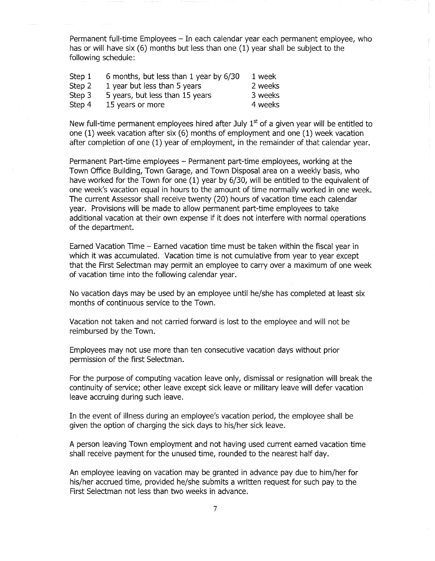Permanent full-time Employees - In each calendar year each permanent employee, who has or will have six (6) months but less than one (1) year shall be subject to the following schedule:

| Step 1 | 6 months, but less than 1 year by 6/30 | 1 week  |
|--------|----------------------------------------|---------|
| Step 2 | 1 year but less than 5 years           | 2 weeks |
| Step 3 | 5 years, but less than 15 years        | 3 weeks |
| Step 4 | 15 years or more                       | 4 weeks |

New full-time permanent employees hired after July  $1^\omega$  of a given year will be entitled to one (1) week vacation after six (6) months of employment and one (1) week vacation after completion of one (1) year of employment, in the remainder of that calendar year.

Permanent Part-time employees - Permanent part-time employees, working at the Town Office Building, Town Garage, and Town Disposal area on a weekly basis, who have worked for the Town for one (1) year by 6/30, will be entitled to the equivalent of one week's vacation equal in hours to the amount of time normally worked in one week. The current Assessor shall receive twenty (20) hours of vacation time each calendar year. Provisions will be made to allow permanent part-time employees to take additional vacation at their own expense if it does not interfere with normal operations of the department.

Earned Vacation Time - Earned vacation time must be taken within the fiscal year in which it was accumulated. Vacation time is not cumulative from year to year except that the First Selectman may permit an employee to carry over a maximum of one week of vacation time into the following calendar year.

No vacation days may be used by an employee until he/she has completed at least six months of continuous service to the Town.

Vacation not taken and not carried forward is lost to the employee and will not be reimbursed by the Town.

Employees may not use more than ten consecutive vacation days without prior permission of the first Selectman.

For the purpose of computing vacation leave only, dismissal or resignation will break the continuity of service; other leave except sick leave or military leave will defer vacation leave accruing during such leave.

In the event of illness during an employee's vacation period, the employee shall be given the option of charging the sick days to his/her sick leave.

A person leaving Town employment and not having used current earned vacation time shall receive payment for the unused time, rounded to the nearest half day.

An employee leaving on vacation may be granted in advance pay due to him/her for his/her accrued time, provided he/she submits a written request for such pay to the First Selectman not less than two weeks in advance.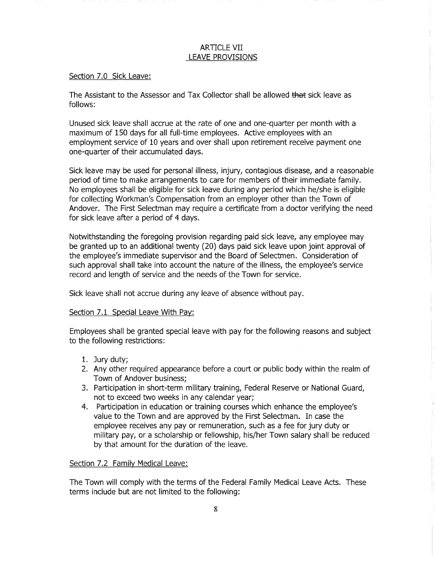## ARTICLE VII LEAVE PROVISIONS

## Section 7.0 Sick Leave:

The Assistant to the Assessor and Tax Collector shall be allowed that sick leave as follows:

Unused sick leave shall accrue at the rate of one and one-quarter per month with a maximum of 150 days for all full-time employees. Active employees with an employment service of 10 years and over shall upon retirement receive payment one one-quarter of their accumulated days.

Sick leave may be used for personal illness, injury, contagious disease, and a reasonable period of time to make arrangements to care for members of their immediate family. No employees shall be eligible for sick leave during any period which he/she is eligible for collecting Workman's Compensation from an employer other than the Town of Andover. The First Selectman may require a certificate from a doctor verifying the need for sick leave after a period of 4 days.

Notwithstanding the foregoing provision regarding paid sick leave, any employee may be granted up to an additional twenty (20) days paid sick leave upon joint approval of the employee's immediate supervisor and the Board of Selectmen. Consideration of such approval shall take into account the nature of the illness, the employee's service record and length of service and the needs of the Town for service.

Sick leave shall not accrue during any leave of absence without pay.

## Section 7.1 Special Leave With Pay:

Employees shall be granted special leave with pay for the following reasons and subject to the following restrictions:

- 1. Jury duty;
- 2. Any other required appearance before a court or public body within the realm of Town of Andover business;
- 3. Participation in short-term military training, Federal Reserve or National Guard, not to exceed two weeks in any calendar year;
- 4. Participation in education or training courses which enhance the employee's value to the Town and are approved by the First Selectman. In case the employee receives any pay or remuneration, such as a fee for jury duty or military pay, or a scholarship or fellowship, his/her Town salary shall be reduced by that amount for the duration of the leave.

## Section 7.2 Family Medical Leave:

The Town will comply with the terms of the Federal Family Medical Leave Acts. These terms include but are not limited to the following: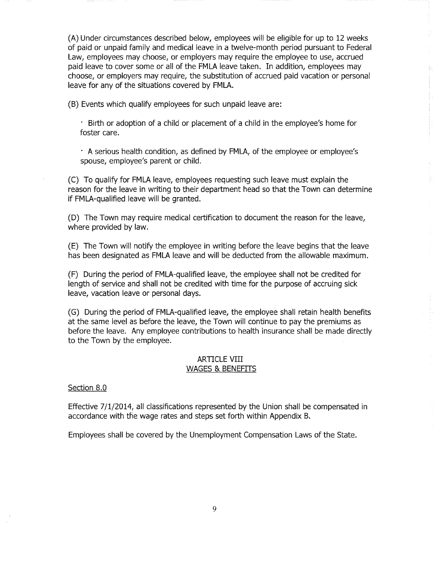(A) Under circumstances described below, employees will be eligible for up to 12 weeks of paid or unpaid family and medical leave in a twelve-month period pursuant to Federal Law, employees may choose, or employers may require the employee to use, accrued paid leave to cover some or all of the FMLA leave taken. In addition, employees may choose, or employers may require, the substitution of accrued paid vacation or personal leave for any of the situations covered by FMLA.

(B) Events which qualify employees for such unpaid leave are:

• Birth or adoption of a child or placement of a child in the employee's home for foster care.

• A serious health condition, as defined by FMLA, of the employee or employee's spouse, employee's parent or child.

(C) To qualify for FMLA leave, employees requesting such leave must explain the reason for the leave in writing to their department head so that the Town can determine if FMLA-qualified leave will be granted.

(D) The Town may require medical certification to document the reason for the leave, where provided by law.

(E) The Town will notify the employee in writing before the leave begins that the leave has been designated as FMLA leave and will be deducted from the allowable maximum.

(F) During the period of FMLA-qualified leave, the employee shall not be credited for length of service and shall not be credited with time for the purpose of accruing sick leave, vacation leave or personal days.

(G) During the period of FMLA-qualified leave, the employee shall retain health benefits at the same level as before the leave, the Town will continue to pay the premiums as before the leave. Any employee contributions to health insurance shall be made directly to the Town by the employee.

## ARTICLE VIII WAGES & BENEFITS

## Section 8.0

Effective 7/1/2014, all classifications represented by the Union shall be compensated in accordance with the wage rates and steps set forth within Appendix B.

Employees shall be covered by the Unemployment Compensation Laws of the State.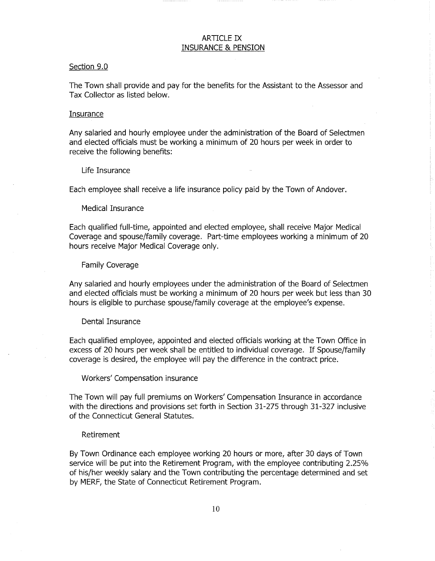## ARTICLE IX INSURANCE & PENSION

#### Section 9.0

The Town shall provide and pay for the benefits for the Assistant to the Assessor and Tax Collector as listed below.

#### Insurance

Any salaried and hourly employee under the administration of the Board of Selectmen and elected officials must be working a minimum of 20 hours per week in order to receive the following benefits:

Life Insurance

Each employee shall receive a life insurance policy paid by the Town of Andover.

Medical Insurance

Each qualified full-time, appointed and elected employee, shall receive Major Medical Coverage and spouse/family coverage. Part-time employees working a minimum of 20 hours receive Major Medical Coverage only.

Family Coverage

Any salaried and hourly employees under the administration of the Board of Selectmen and elected officials must be working a minimum of 20 hours per week but less than 30 hours is eligible to purchase spouse/family coverage at the employee's expense.

#### Dental Insurance

Each qualified employee, appointed and elected officials working at the Town Office in excess of 20 hours per week shall be entitled to individual coverage. If Spouse/family coverage is desired, the employee will pay the difference in the contract price.

Workers' Compensation insurance

The Town will pay full premiums on Workers' Compensation Insurance in accordance with the directions and provisions set forth in Section 31-275 through 31-327 inclusive of the Connecticut General Statutes.

## Retirement

By Town Ordinance each employee working 20 hours or more, after 30 days of Town service will be put into the Retirement Program, with the employee contributing 2.25% of his/her weekly salary and the Town contributing the percentage determined and set by MERF, the State of Connecticut Retirement Program.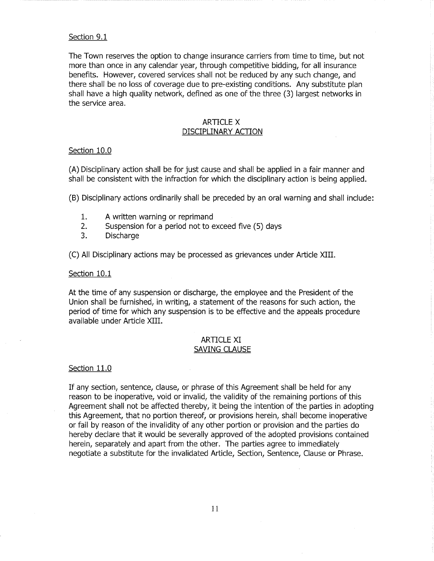## Section 9.1

The Town reserves the option to change insurance carriers from time to time, but not more than once in any calendar year, through competitive bidding, for all insurance benefits. However, covered services shall not be reduced by any such change, and there shall be no loss of coverage due to pre-existing conditions. Any substitute plan shall have a high quality network, defined as one of the three (3) largest networks in the service area.

## ARTICLE X DISCIPLINARY ACTION

## Section 10.0

(A) Disciplinary action shall be for just cause and shall be applied in a fair manner and shall be consistent with the infraction for which the disciplinary action is being applied.

(B) Disciplinary actions ordinarily shall be preceded by an oral warning and shall include:

- 1. A written warning or reprimand
- 2. Suspension for a period not to exceed five (5) days
- $\overline{3}$ . Discharge 3. Discharge

(C) All Disciplinary actions may be processed as grievances under Article XIII.

## Section 10.1

At the time of any suspension or discharge, the employee and the President of the Union shall be furnished, in writing, a statement of the reasons for such action, the period of time for which any suspension is to be effective and the appeals procedure available under Article XIII.

## ARTICLE XI SAVING CLAUSE

## Section 11.0

If any section, sentence, clause, or phrase of this Agreement shall be held for any reason to be inoperative, void or invalid, the validity of the remaining portions of this Agreement shall not be affected thereby, it being the intention of the parties in adopting this Agreement, that no portion thereof, or provisions herein, shall become inoperative or fail by reason of the invalidity of any other portion or provision and the parties do hereby declare that it would be severally approved of the adopted provisions contained herein, separately and apart from the other. The parties agree to immediately negotiate a substitute for the invalidated Article, Section, Sentence, Clause or Phrase.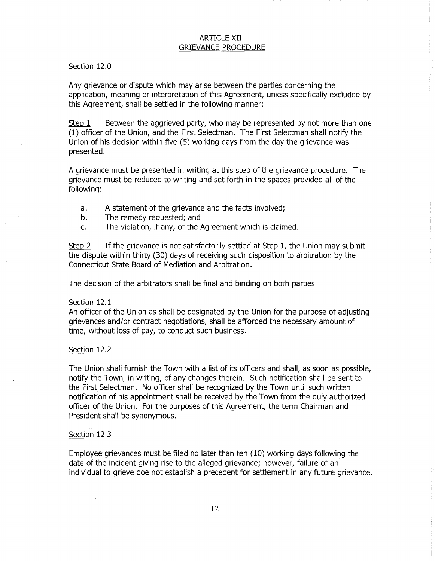## ARTICLE XII GRIEVANCE PROCEDURE

## Section 12.0

Any grievance or dispute which may arise between the parties concerning the application, meaning or interpretation of this Agreement, unless specifically excluded by this Agreement, shall be settled in the following manner:

Step  $1$  Between the aggrieved party, who may be represented by not more than one (1) officer of the Union, and the First Selectman. The First Selectman shall notify the Union of his decision within five (5) working days from the day the grievance was presented.

A grievance must be presented in writing at this step of the grievance procedure. The grievance must be reduced to writing and set forth in the spaces provided all of the following:

- a. A statement of the grievance and the facts involved;
- b. The remedy requested; and
- c. The violation, if any, of the Agreement which is claimed.

Step 2 If the grievance is not satisfactorily settled at Step 1, the Union may submit the dispute within thirty (30) days of receiving such disposition to arbitration by the Connecticut State Board of Mediation and Arbitration.

The decision of the arbitrators shall be final and binding on both parties.

## Section 12.1

An officer of the Union as shall be designated by the Union for the purpose of adjusting grievances and/or contract negotiations, shall be afforded the necessary amount of time, without loss of pay, to conduct such business.

#### Section 12.2

The Union shall furnish the Town with a list of its officers and shall, as soon as possible, notify the Town, in writing, of any changes therein. Such notification shall be sent to the First Selectman. No officer shall be recognized by the Town until such written notification of his appointment shall be received by the Town from the duly authorized officer of the Union. For the purposes of this Agreement, the term Chairman and President shall be synonymous.

## Section 12.3

Employee grievances must be filed no later than ten (10) working days following the date of the incident giving rise to the alleged grievance; however, failure of an individual to grieve doe not establish a precedent for settlement in any future grievance.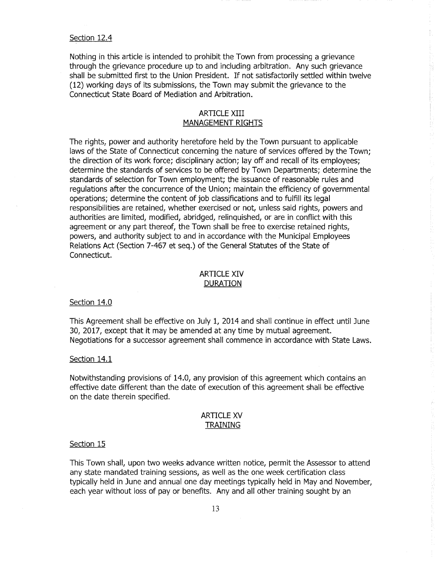#### Section 12.4

Nothing in this article is intended to prohibit the Town from processing a grievance through the grievance procedure up to and including arbitration. Any such grievance shall be submitted first to the Union President. If not satisfactorily settled within twelve (12) working days of its submissions, the Town may submit the grievance to the Connecticut State Board of Mediation and Arbitration.

## ARTICLE XIII MANAGEMENT RIGHTS

The rights, power and authority heretofore held by the Town pursuant to applicable laws of the State of Connecticut concerning the nature of services offered by the Town; the direction of its work force; disciplinary action; lay off and recall of its employees; determine the standards of services to be offered by Town Departments; determine the standards of selection for Town employment; the issuance of reasonable rules and regulations after the concurrence of the Union; maintain the efficiency of governmental operations; determine the content of job classifications and to fulfill its legal responsibilities are retained, whether exercised or not, unless said rights, powers and authorities are limited, modified, abridged, relinquished, or are in conflict with this agreement or any part thereof, the Town shall be free to exercise retained rights, powers, and authority subject to and in accordance with the Municipal Employees Relations Act (Section 7-467 et seq.) of the General Statutes of the State of Connecticut.

## ARTICLE XIV DURATION

## Section 14.0

This Agreement shall be effective on July 1, 2014 and shall continue in effect until June 30, 2017, except that it may be amended at any time by mutual agreement. Negotiations for a successor agreement shall commence in accordance with State Laws.

#### Section 14.1

Notwithstanding provisions of 14.0, any provision of this agreement which contains an effective date different than the date of execution of this agreement shall be effective on the date therein specified.

## ARTICLE XV TRAINING

#### Section 15

This Town shall, upon two weeks advance written notice, permit the Assessor to attend any state mandated training sessions, as well as the one week certification class typically held in June and annual one day meetings typically held in May and November, each year without loss of pay or benefits. Any and all other training sought by an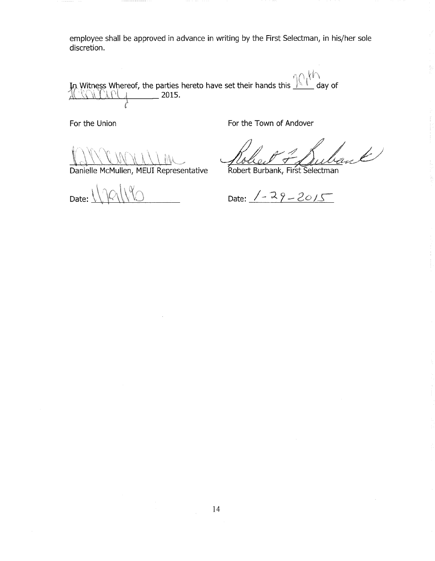employee shall be approved in advance in writing by the First Selectman, in his/her sole discretion.

In Witness Whereof, the parties hereto have set their hands this  $\mathbb{R}^n$  day of  $\frac{1000 \text{ V} \cdot \text{V}}{1000 \text{ V}}$  2015.

For the Union **For the Town of Andover** 

Danielle McMullen, MEUI Representative

Robert Burbank, First Selectman

 $\ell'$ 

Date:  $\overline{a}$ 

Date:  $1 - 29 - 2015$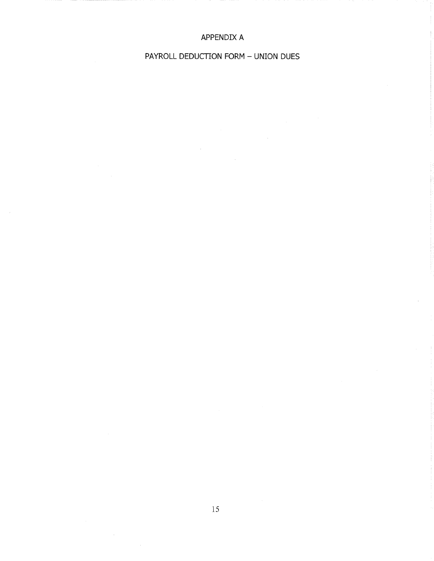# APPENDIX A

# PAYROLL DEDUCTION FORM - UNION DUES

 $\mathcal{L}$